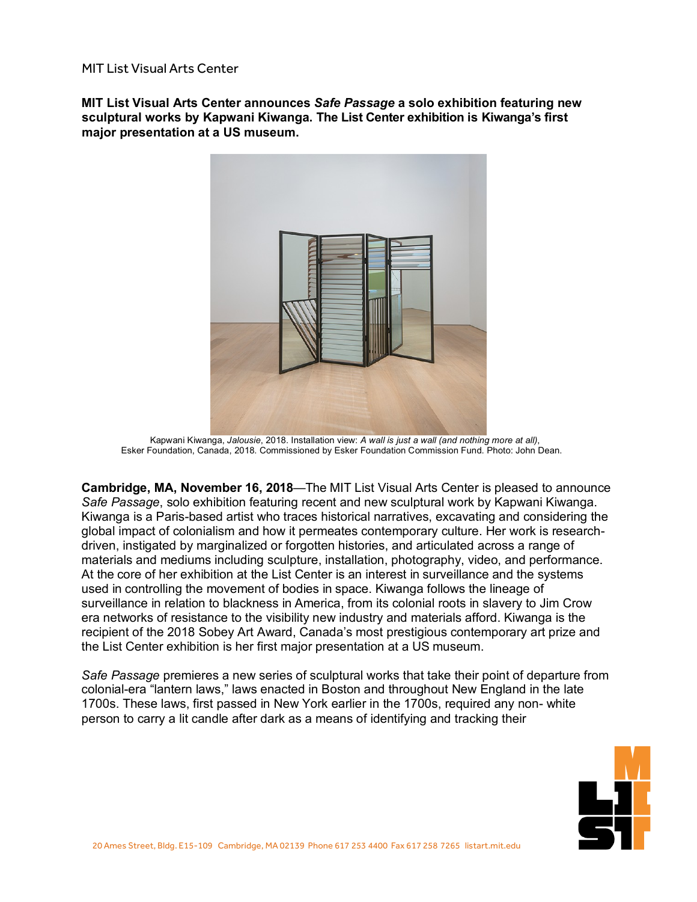MIT List Visual Arts Center

**MIT List Visual Arts Center announces** *Safe Passage* **a solo exhibition featuring new sculptural works by Kapwani Kiwanga. The List Center exhibition is Kiwanga's first major presentation at a US museum.**



Kapwani Kiwanga, *Jalousie*, 2018. Installation view: *A wall is just a wall (and nothing more at all)*, Esker Foundation, Canada, 2018. Commissioned by Esker Foundation Commission Fund. Photo: John Dean.

**Cambridge, MA, November 16, 2018**—The MIT List Visual Arts Center is pleased to announce *Safe Passage*, solo exhibition featuring recent and new sculptural work by Kapwani Kiwanga. Kiwanga is a Paris-based artist who traces historical narratives, excavating and considering the global impact of colonialism and how it permeates contemporary culture. Her work is researchdriven, instigated by marginalized or forgotten histories, and articulated across a range of materials and mediums including sculpture, installation, photography, video, and performance. At the core of her exhibition at the List Center is an interest in surveillance and the systems used in controlling the movement of bodies in space. Kiwanga follows the lineage of surveillance in relation to blackness in America, from its colonial roots in slavery to Jim Crow era networks of resistance to the visibility new industry and materials afford. Kiwanga is the recipient of the 2018 Sobey Art Award, Canada's most prestigious contemporary art prize and the List Center exhibition is her first major presentation at a US museum.

*Safe Passage* premieres a new series of sculptural works that take their point of departure from colonial-era "lantern laws," laws enacted in Boston and throughout New England in the late 1700s. These laws, first passed in New York earlier in the 1700s, required any non- white person to carry a lit candle after dark as a means of identifying and tracking their